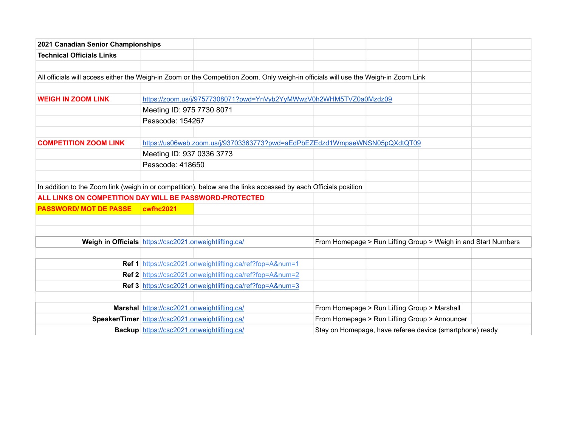| 2021 Canadian Senior Championships                                                                              |                                                       |                                                                                                                                     |                                                                |                                                          |  |  |  |  |  |
|-----------------------------------------------------------------------------------------------------------------|-------------------------------------------------------|-------------------------------------------------------------------------------------------------------------------------------------|----------------------------------------------------------------|----------------------------------------------------------|--|--|--|--|--|
| <b>Technical Officials Links</b>                                                                                |                                                       |                                                                                                                                     |                                                                |                                                          |  |  |  |  |  |
|                                                                                                                 |                                                       |                                                                                                                                     |                                                                |                                                          |  |  |  |  |  |
|                                                                                                                 |                                                       | All officials will access either the Weigh-in Zoom or the Competition Zoom. Only weigh-in officials will use the Weigh-in Zoom Link |                                                                |                                                          |  |  |  |  |  |
|                                                                                                                 |                                                       |                                                                                                                                     |                                                                |                                                          |  |  |  |  |  |
| <b>WEIGH IN ZOOM LINK</b>                                                                                       |                                                       | https://zoom.us/j/97577308071?pwd=YnVyb2YyMWwzV0h2WHM5TVZ0a0Mzdz09                                                                  |                                                                |                                                          |  |  |  |  |  |
|                                                                                                                 | Meeting ID: 975 7730 8071                             |                                                                                                                                     |                                                                |                                                          |  |  |  |  |  |
|                                                                                                                 | Passcode: 154267                                      |                                                                                                                                     |                                                                |                                                          |  |  |  |  |  |
|                                                                                                                 |                                                       |                                                                                                                                     |                                                                |                                                          |  |  |  |  |  |
| <b>COMPETITION ZOOM LINK</b>                                                                                    |                                                       | https://us06web.zoom.us/j/93703363773?pwd=aEdPbEZEdzd1WmpaeWNSN05pQXdtQT09                                                          |                                                                |                                                          |  |  |  |  |  |
|                                                                                                                 | Meeting ID: 937 0336 3773                             |                                                                                                                                     |                                                                |                                                          |  |  |  |  |  |
|                                                                                                                 | Passcode: 418650                                      |                                                                                                                                     |                                                                |                                                          |  |  |  |  |  |
|                                                                                                                 |                                                       |                                                                                                                                     |                                                                |                                                          |  |  |  |  |  |
| In addition to the Zoom link (weigh in or competition), below are the links accessed by each Officials position |                                                       |                                                                                                                                     |                                                                |                                                          |  |  |  |  |  |
| ALL LINKS ON COMPETITION DAY WILL BE PASSWORD-PROTECTED                                                         |                                                       |                                                                                                                                     |                                                                |                                                          |  |  |  |  |  |
| <b>PASSWORD/ MOT DE PASSE</b>                                                                                   | cwfhc2021                                             |                                                                                                                                     |                                                                |                                                          |  |  |  |  |  |
|                                                                                                                 |                                                       |                                                                                                                                     |                                                                |                                                          |  |  |  |  |  |
|                                                                                                                 |                                                       |                                                                                                                                     |                                                                |                                                          |  |  |  |  |  |
| Weigh in Officials https://csc2021.onweightlifting.ca/                                                          |                                                       |                                                                                                                                     | From Homepage > Run Lifting Group > Weigh in and Start Numbers |                                                          |  |  |  |  |  |
|                                                                                                                 |                                                       |                                                                                                                                     |                                                                |                                                          |  |  |  |  |  |
|                                                                                                                 |                                                       | Ref 1 https://csc2021.onweightlifting.ca/ref?fop=A#=1                                                                               |                                                                |                                                          |  |  |  |  |  |
|                                                                                                                 |                                                       | Ref 2 https://csc2021.onweightlifting.ca/ref?fop=A#=2                                                                               |                                                                |                                                          |  |  |  |  |  |
|                                                                                                                 | Ref 3 https://csc2021.onweightlifting.ca/ref?fop=A#=3 |                                                                                                                                     |                                                                |                                                          |  |  |  |  |  |
|                                                                                                                 |                                                       |                                                                                                                                     |                                                                |                                                          |  |  |  |  |  |
|                                                                                                                 | Marshal https://csc2021.onweightlifting.ca/           |                                                                                                                                     | From Homepage > Run Lifting Group > Marshall                   |                                                          |  |  |  |  |  |
|                                                                                                                 | Speaker/Timer https://csc2021.onweightlifting.ca/     |                                                                                                                                     | From Homepage > Run Lifting Group > Announcer                  |                                                          |  |  |  |  |  |
|                                                                                                                 | Backup https://csc2021.onweightlifting.ca/            |                                                                                                                                     |                                                                | Stay on Homepage, have referee device (smartphone) ready |  |  |  |  |  |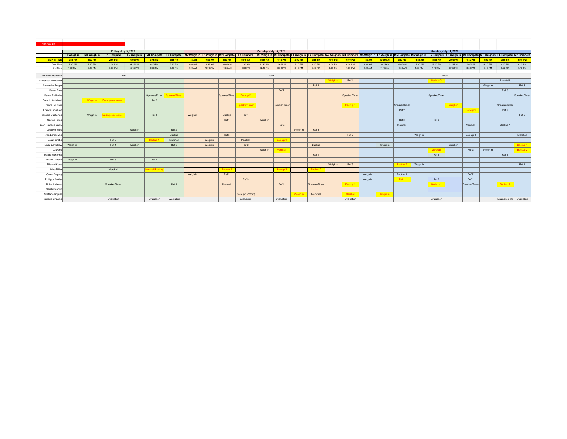| All times EDT       |             |             |                            |             |                 |             |          |          |                     |                                               |                        |               |          |                 |          |                     |          |          |                     |          |                              |          |                     |          |                                                                                                                                                                                                     |                     |
|---------------------|-------------|-------------|----------------------------|-------------|-----------------|-------------|----------|----------|---------------------|-----------------------------------------------|------------------------|---------------|----------|-----------------|----------|---------------------|----------|----------|---------------------|----------|------------------------------|----------|---------------------|----------|-----------------------------------------------------------------------------------------------------------------------------------------------------------------------------------------------------|---------------------|
|                     |             |             |                            |             |                 |             |          |          |                     |                                               |                        |               |          |                 |          |                     |          |          |                     |          |                              |          |                     |          |                                                                                                                                                                                                     |                     |
|                     |             |             | Friday, July 9, 2021       |             |                 |             |          |          |                     |                                               | Satuday, July 10, 2021 |               |          |                 |          |                     |          |          |                     |          | <b>Sunday, July 11, 2021</b> |          |                     |          |                                                                                                                                                                                                     |                     |
|                     | F1 Weigh in | M1 Weigh in | F1 Compete                 | F2 Weigh in | M1 Compete      | F2 Compete  |          |          |                     | M2 Weigh in F3 Weigh in M2 Compete F3 Compete |                        |               |          |                 |          |                     |          |          |                     |          |                              |          |                     |          | M3 Weigh in M3 Compete F4 Weigh in F4 Compete M4 Weigh in M4 Compete M5 Weigh in F5 Weigh in M5 Compete M6 Weigh in F5 Compete F6 Weigh in M6 Compete M7 Weigh in F6 Compete M7 Weigh in F6 Compete |                     |
| <b>SIGN IN TIME</b> | 12:15 PM    | 2:00 PM     | 2:00 PM                    | 4:00 PM     | 3:45 PM         | 5:45 PM     | 7:45 AM  | 9:30 AM  | 9:30 AM             | 11:15 AM                                      | 11:30 AM               | 1:15 PM       | 2:00 PM  | 3:45 PM         | 4:15 PM  | 6:00 PM             | 7:45 AM  | 10:00 AM | 9:30 AM             | 11:45 AM | 11:45 AM                     | 2:00 PM  | 1:30 PM             | 4:00 PM  | 3:45 PM                                                                                                                                                                                             | <b>5:45 PM</b>      |
| Start Time          | 12:30 PM    | 2:15 PM     | 2:30 PM                    | 4:15 PM     | 4:15 PM         | 6:15 PM     | 8:00 AM  | 9:45 AM  | 10:00 AM            | 11:45 AM                                      | 11:45 AM               | 1:45 PM       | 2:15 PM  | 4:15 PM         | 4:30 PM  | 6:30 PM             | 8:00 AM  | 10:15 AM | 10:00 AM            | 12:00 PM | 12:15 PM                     | 2:15 PM  | 2:00 PM             | 4:15 PM  | 4:15 PM                                                                                                                                                                                             | 6:15 PM             |
| End Time            | 1:30 PM     | 3:15 PM     | 3:55 PM                    | 5:15 PM     | 6:03 PM         | 8:13 PM     | 9:00 AM  | 10:45 AM | 11:25 AM            | 1:33 PM                                       | 12:45 PM               | 3:54 PM       | 3:15 PM  | 6:13 PM         | 5:30 PM  | 7:56 PM             | 9:00 AM  | 11:15 AM | 11:58 AM            | 1:00 PM  | 1:40 PM                      | 3:15 PM  | 3:58 PM             | 5:15 PM  | 5:52 PM                                                                                                                                                                                             | 7:15 PM             |
| Amanda Braddock     |             |             | Zoom                       |             |                 |             |          |          |                     |                                               | Zoom                   |               |          |                 |          |                     | Zoom     |          |                     |          |                              |          |                     |          |                                                                                                                                                                                                     |                     |
| Alexander Wendover  |             |             |                            |             |                 |             |          |          |                     |                                               |                        |               |          |                 | Weigh in | Ref 1               |          |          |                     |          | Backup <sub>2</sub>          |          |                     |          | Marshall                                                                                                                                                                                            |                     |
| Alexandre Berger    |             |             |                            |             |                 |             |          |          |                     |                                               |                        |               |          | Ref 2           |          |                     |          |          |                     |          |                              |          |                     | Weigh in |                                                                                                                                                                                                     | Ref 3               |
| Daniel Pare         |             |             |                            |             |                 |             |          |          |                     |                                               |                        | Ref 2         |          |                 |          |                     |          |          |                     |          |                              |          |                     |          | Ref 3                                                                                                                                                                                               |                     |
| Daniel Robitaille   |             |             |                            |             | Speaker/Timer   | eaker/Timer |          |          | Speaker/Timer       | Backup <sub>2</sub>                           |                        |               |          |                 |          | Speaker/Timer       |          |          |                     |          | Speaker/Timer                |          |                     |          |                                                                                                                                                                                                     | Speaker/Timer       |
| Dresdin Archibald   |             | Weigh in    | Backup (after weighin      |             | Ref 3           |             |          |          |                     |                                               |                        |               |          |                 |          |                     |          |          |                     |          |                              |          |                     |          |                                                                                                                                                                                                     |                     |
| France Boucher      |             |             |                            |             |                 |             |          |          |                     | Speaker/Timer                                 |                        | Speaker/Timer |          |                 |          | Backup <sub>1</sub> |          |          | Speaker/Timer       |          |                              | Weigh in |                     |          | Speaker/Timer                                                                                                                                                                                       |                     |
| France Brouillard   |             |             |                            |             |                 |             |          |          |                     |                                               |                        |               |          |                 |          |                     |          |          | Ref 2               |          |                              |          | Backup <sub>2</sub> |          | Ref 2                                                                                                                                                                                               |                     |
| Francois Ducharme   |             | Weigh in    | <b>ackup</b> (after weight |             | Ref 1           |             | Weigh in |          | Backup              | Ref 1                                         |                        |               |          |                 |          |                     |          |          |                     |          |                              |          |                     |          |                                                                                                                                                                                                     | Ref 2               |
| Gaetan Hinse        |             |             |                            |             |                 |             |          |          | Ref 1               |                                               | Weigh in               |               |          |                 |          |                     |          |          | Ref 3               |          | Ref 3                        |          |                     |          |                                                                                                                                                                                                     |                     |
| Jean-Francois Lamy  |             |             |                            |             |                 |             |          |          |                     |                                               |                        | Ref 3         |          |                 |          |                     |          |          | Marshall            |          |                              |          | Marshall            |          | Backup 1                                                                                                                                                                                            |                     |
| Jocelyne Moe        |             |             |                            | Weigh in    |                 | Ref 2       |          |          |                     |                                               |                        |               | Weigh in | Ref 3           |          |                     |          |          |                     |          |                              |          |                     |          |                                                                                                                                                                                                     |                     |
| Joe Landreville     |             |             |                            |             |                 | Backup      |          |          | Ref 3               |                                               |                        |               |          |                 |          | Ref 2               |          |          |                     | Weigh in |                              |          | Backup 1            |          |                                                                                                                                                                                                     | Marshall            |
| Lara Ferretto       |             |             | Ref 2                      |             | Backup 1        | Marshall    |          | Weigh in |                     | Marshall                                      |                        | Backup 1      |          |                 |          |                     |          |          |                     |          |                              |          |                     |          |                                                                                                                                                                                                     |                     |
| Linda Earnshaw      | Weigh in    |             | Ref 1                      | Weigh in    |                 | Ref 3       |          | Weigh in |                     | Ref 2                                         |                        |               |          | Backup          |          |                     |          | Weigh in |                     |          |                              | Weigh in |                     |          |                                                                                                                                                                                                     | Backup 1            |
| Lu Dong             |             |             |                            |             |                 |             |          |          |                     |                                               | Weigh in               | Marshall      |          |                 |          |                     |          |          |                     |          | Marshall                     |          | Ref 3               | Weigh in |                                                                                                                                                                                                     | Backup <sub>2</sub> |
| Margo McKenna       |             |             |                            |             |                 |             |          |          |                     |                                               |                        |               |          | Ref 1           |          |                     |          |          |                     |          | Ref 1                        |          |                     |          | Ref 1                                                                                                                                                                                               |                     |
| Martine Thibault    | Weigh in    |             | Ref 3                      |             | Ref 2           |             |          |          |                     |                                               |                        |               |          |                 |          |                     |          |          |                     |          |                              |          |                     |          |                                                                                                                                                                                                     |                     |
| Michael Korte       |             |             |                            |             |                 |             |          |          |                     |                                               |                        |               |          |                 | Weigh in | Ref 3               |          |          | Backup <sub>2</sub> | Weigh in |                              |          |                     |          |                                                                                                                                                                                                     | Ref 1               |
| Mike Miller         |             |             | Marshall                   |             | Aarshall/Backup |             |          |          | Backup <sub>2</sub> |                                               |                        | Backup 2      |          | <b>Backup 2</b> |          |                     |          |          |                     |          |                              |          |                     |          |                                                                                                                                                                                                     |                     |
| Owen Duguay         |             |             |                            |             |                 |             | Weigh in |          | Ref 2               |                                               |                        |               |          |                 |          |                     | Weigh in |          | Backup 1            |          |                              |          | Ref 2               |          |                                                                                                                                                                                                     |                     |
| Phillippe St-Cyr    |             |             |                            |             |                 |             |          |          |                     | Ref 3                                         |                        |               |          |                 |          |                     | Weigh in |          | Ref 1               |          | Ref 2                        |          | Ref 1               |          |                                                                                                                                                                                                     |                     |
| Richard Mason       |             |             | Speaker/Timer              |             |                 | Ref 1       |          |          | Marshall            |                                               |                        | Ref 1         |          | Speaker/Timer   |          | Backup <sub>2</sub> |          |          |                     |          | Backup 1                     |          | Speaker/Timer       |          | Backup <sub>2</sub>                                                                                                                                                                                 |                     |
| Sarah Condon        |             |             |                            |             |                 |             |          |          |                     |                                               |                        |               |          |                 |          |                     |          |          |                     |          |                              |          |                     |          |                                                                                                                                                                                                     |                     |
| Svetlana Roguel     |             |             |                            |             |                 |             |          |          |                     | Backup 1 (12pm)                               |                        |               | Weigh in | Marshall        |          | Marshall            |          | Weigh in |                     |          |                              |          |                     |          |                                                                                                                                                                                                     |                     |
| Francois Gravelle   |             |             | Evaluation                 |             | Evaluation      | Evaluation  |          |          |                     | Evaluation                                    |                        | Evaluation    |          |                 |          | Evaluation          |          |          |                     |          | Evaluation                   |          |                     |          | Evaluation (2) Evaluation                                                                                                                                                                           |                     |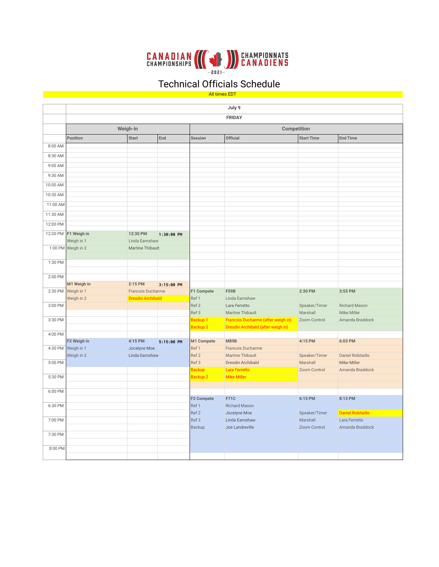## CANADIAN ((CEIN) CHAMPIONNATS<br>CHAMPIONSHIPS (2021-2021-

## Technical Officials Schedule

All times EDT

|          | July 9                          |                          |            |                        |                                           |                          |                                       |  |  |  |  |  |  |
|----------|---------------------------------|--------------------------|------------|------------------------|-------------------------------------------|--------------------------|---------------------------------------|--|--|--|--|--|--|
|          | <b>FRIDAY</b>                   |                          |            |                        |                                           |                          |                                       |  |  |  |  |  |  |
|          |                                 | Weigh-in                 |            |                        | Competition                               |                          |                                       |  |  |  |  |  |  |
|          | End<br>Position<br><b>Start</b> |                          | Session    | Official               | <b>Start Time</b>                         | <b>End Time</b>          |                                       |  |  |  |  |  |  |
| 8:00 AM  |                                 |                          |            |                        |                                           |                          |                                       |  |  |  |  |  |  |
| 8:30 AM  |                                 |                          |            |                        |                                           |                          |                                       |  |  |  |  |  |  |
|          |                                 |                          |            |                        |                                           |                          |                                       |  |  |  |  |  |  |
| 9:00 AM  |                                 |                          |            |                        |                                           |                          |                                       |  |  |  |  |  |  |
| 9:30 AM  |                                 |                          |            |                        |                                           |                          |                                       |  |  |  |  |  |  |
| 10:00 AM |                                 |                          |            |                        |                                           |                          |                                       |  |  |  |  |  |  |
| 10:30 AM |                                 |                          |            |                        |                                           |                          |                                       |  |  |  |  |  |  |
|          |                                 |                          |            |                        |                                           |                          |                                       |  |  |  |  |  |  |
| 11:00 AM |                                 |                          |            |                        |                                           |                          |                                       |  |  |  |  |  |  |
| 11:30 AM |                                 |                          |            |                        |                                           |                          |                                       |  |  |  |  |  |  |
| 12:00 PM |                                 |                          |            |                        |                                           |                          |                                       |  |  |  |  |  |  |
|          | 12:30 PM F1 Weigh in            | 12:30 PM                 |            |                        |                                           |                          |                                       |  |  |  |  |  |  |
|          | Weigh in 1                      | Linda Earnshaw           | 1:30:00 PM |                        |                                           |                          |                                       |  |  |  |  |  |  |
|          | 1:00 PM Weigh in 2              | Martine Thibault         |            |                        |                                           |                          |                                       |  |  |  |  |  |  |
|          |                                 |                          |            |                        |                                           |                          |                                       |  |  |  |  |  |  |
| 1:30 PM  |                                 |                          |            |                        |                                           |                          |                                       |  |  |  |  |  |  |
|          |                                 |                          |            |                        |                                           |                          |                                       |  |  |  |  |  |  |
| 2:00 PM  |                                 |                          |            |                        |                                           |                          |                                       |  |  |  |  |  |  |
|          | M1 Weigh in                     | 2:15 PM                  | 3:15:00 PM |                        |                                           |                          |                                       |  |  |  |  |  |  |
| 2:30 PM  | Weigh in 1                      | Francois Ducharme        |            | F1 Compete             | <b>F59B</b>                               | 2:30 PM                  | 3:55 PM                               |  |  |  |  |  |  |
|          | Weigh in 2                      | <b>Dresdin Archibald</b> |            | Ref 1                  | Linda Earnshaw                            |                          |                                       |  |  |  |  |  |  |
| 3:00 PM  |                                 |                          |            | Ref 2                  | Lara Ferretto                             | Speaker/Timer            | <b>Richard Mason</b>                  |  |  |  |  |  |  |
|          |                                 |                          |            | Ref 3                  | Martine Thibault                          | Marshall                 | Mike Miller                           |  |  |  |  |  |  |
| 3:30 PM  |                                 |                          |            | Backup 1               | Francois Ducharme (after weigh in)        | Zoom Control             | Amanda Braddock                       |  |  |  |  |  |  |
|          |                                 |                          |            | Backup <sub>2</sub>    | Dresdin Archibald (after weigh in)        |                          |                                       |  |  |  |  |  |  |
| 4:00 PM  |                                 |                          |            |                        |                                           |                          |                                       |  |  |  |  |  |  |
|          | F2 Weigh in                     | 4:15 PM                  | 5:15:00 PM | M1 Compete             | <b>M89B</b>                               | 4:15 PM                  | 6:03 PM                               |  |  |  |  |  |  |
| 4:30 PM  | Weigh in 1                      | Jocelyne Moe             |            | Ref 1                  | Francois Ducharme                         |                          |                                       |  |  |  |  |  |  |
|          | Weigh in 2                      | Linda Earnshaw           |            | Ref <sub>2</sub>       | <b>Martine Thibault</b>                   | Speaker/Timer            | <b>Daniel Robitaille</b>              |  |  |  |  |  |  |
| 5:00 PM  |                                 |                          |            | Ref 3<br><b>Backup</b> | <b>Dresdin Archibald</b><br>Lara Ferretto | Marshall<br>Zoom Control | <b>Mike Miller</b><br>Amanda Braddock |  |  |  |  |  |  |
| 5:30 PM  |                                 |                          |            | Backup <sub>2</sub>    | <b>Mike Miller</b>                        |                          |                                       |  |  |  |  |  |  |
|          |                                 |                          |            |                        |                                           |                          |                                       |  |  |  |  |  |  |
| 6:00 PM  |                                 |                          |            |                        |                                           |                          |                                       |  |  |  |  |  |  |
|          |                                 |                          |            | <b>F2 Compete</b>      | <b>F71C</b>                               | 6:15 PM                  | 8:13 PM                               |  |  |  |  |  |  |
| 6:30 PM  |                                 |                          |            | Ref 1                  | <b>Richard Mason</b>                      |                          |                                       |  |  |  |  |  |  |
|          |                                 |                          |            | Ref 2                  | Jocelyne Moe                              | Speaker/Timer            | <b>Daniel Robitaille</b>              |  |  |  |  |  |  |
| 7:00 PM  |                                 |                          |            | Ref 3                  | Linda Earnshaw                            | Marshall                 | Lara Ferretto                         |  |  |  |  |  |  |
|          |                                 |                          |            | Backup                 | Joe Landreville                           | Zoom Control             | Amanda Braddock                       |  |  |  |  |  |  |
| 7:30 PM  |                                 |                          |            |                        |                                           |                          |                                       |  |  |  |  |  |  |
|          |                                 |                          |            |                        |                                           |                          |                                       |  |  |  |  |  |  |
| 8:00 PM  |                                 |                          |            |                        |                                           |                          |                                       |  |  |  |  |  |  |
|          |                                 |                          |            |                        |                                           |                          |                                       |  |  |  |  |  |  |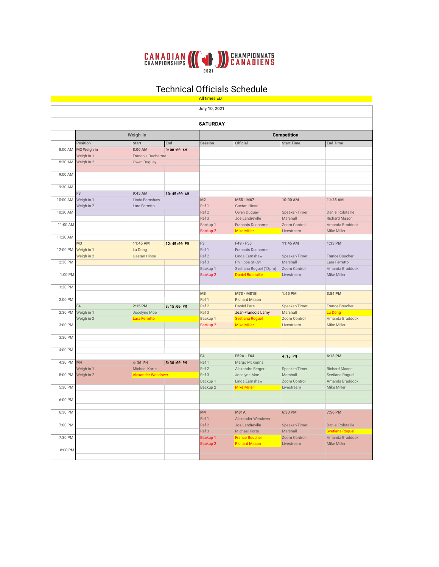

## Technical Officials Schedule

|                      |                |                           |              | <u>All times EDT</u> |                          |                     |                          |  |  |  |  |  |
|----------------------|----------------|---------------------------|--------------|----------------------|--------------------------|---------------------|--------------------------|--|--|--|--|--|
|                      |                |                           |              | July 10, 2021        |                          |                     |                          |  |  |  |  |  |
|                      |                |                           |              |                      |                          |                     |                          |  |  |  |  |  |
|                      |                |                           |              | <b>SATURDAY</b>      |                          |                     |                          |  |  |  |  |  |
|                      |                | Weigh-in                  |              | <b>Competition</b>   |                          |                     |                          |  |  |  |  |  |
|                      | Position       | <b>Start</b>              | End          | <b>Session</b>       | Official                 | <b>Start Time</b>   | <b>End Time</b>          |  |  |  |  |  |
| 8:00 AM              | M2 Weigh in    | 8:00 AM                   | $9:00:00$ AM |                      |                          |                     |                          |  |  |  |  |  |
|                      | Weigh in 1     | Francois Ducharme         |              |                      |                          |                     |                          |  |  |  |  |  |
| 8:30 AM              | Weigh in 2     | Owen Duguay               |              |                      |                          |                     |                          |  |  |  |  |  |
|                      |                |                           |              |                      |                          |                     |                          |  |  |  |  |  |
| 9:00 AM              |                |                           |              |                      |                          |                     |                          |  |  |  |  |  |
|                      |                |                           |              |                      |                          |                     |                          |  |  |  |  |  |
| 9:30 AM              |                |                           |              |                      |                          |                     |                          |  |  |  |  |  |
|                      | F3             | 9:45 AM                   | 10:45:00 AM  |                      |                          |                     |                          |  |  |  |  |  |
| 10:00 AM             | Weigh in 1     | Linda Earnshaw            |              | M <sub>2</sub>       | M55 - M67                | 10:00 AM            | 11:25 AM                 |  |  |  |  |  |
|                      | Weigh in 2     | Lara Ferretto             |              | Ref 1                | <b>Gaetan Hinse</b>      |                     |                          |  |  |  |  |  |
| 10:30 AM             |                |                           |              | Ref <sub>2</sub>     | Owen Duguay              | Speaker/Timer       | <b>Daniel Robitaille</b> |  |  |  |  |  |
|                      |                |                           |              | Ref 3                | Joe Landreville          | Marshall            | <b>Richard Mason</b>     |  |  |  |  |  |
| 11:00 AM             |                |                           |              | Backup 1             | Francois Ducharme        | Zoom Control        | Amanda Braddock          |  |  |  |  |  |
| 11:30 AM             |                |                           |              | Backup <sub>2</sub>  | <b>Mike Miller</b>       | Livestream          | <b>Mike Miller</b>       |  |  |  |  |  |
|                      | M <sub>3</sub> | 11:45 AM                  |              | F <sub>3</sub>       | F49 - F55                | 11:45 AM            | 1:33 PM                  |  |  |  |  |  |
| 12:00 PM             | Weigh in 1     | Lu Dong                   | 12:45:00 PM  | Ref 1                | Francois Ducharme        |                     |                          |  |  |  |  |  |
|                      | Weigh in 2     | <b>Gaetan Hinse</b>       |              | Ref <sub>2</sub>     | Linda Earnshaw           | Speaker/Timer       | France Boucher           |  |  |  |  |  |
| 12:30 PM             |                |                           |              | Ref 3                | Phillippe St-Cyr         | Marshall            | Lara Ferretto            |  |  |  |  |  |
|                      |                |                           |              | Backup 1             | Svetlana Roguel (12pm)   | Zoom Control        | Amanda Braddock          |  |  |  |  |  |
| 1:00 PM              |                |                           |              | Backup <sub>2</sub>  | <b>Daniel Robitaille</b> | Livestream          | Mike Miller              |  |  |  |  |  |
|                      |                |                           |              |                      |                          |                     |                          |  |  |  |  |  |
| $1:30 P\overline{M}$ |                |                           |              |                      |                          |                     |                          |  |  |  |  |  |
|                      |                |                           |              | M3                   | M73 - M81B               | 1:45 PM             | 3:54 PM                  |  |  |  |  |  |
| 2:00 PM              |                |                           |              | Ref 1                | <b>Richard Mason</b>     |                     |                          |  |  |  |  |  |
|                      | F <sub>4</sub> | 2:15 PM                   | 3:15:00 PM   | Ref <sub>2</sub>     | <b>Daniel Pare</b>       | Speaker/Timer       | <b>France Boucher</b>    |  |  |  |  |  |
| 2:30 PM              | Weigh in 1     | Jocelyne Moe              |              | Ref 3                | Jean-Francois Lamy       | Marshall            | Lu Dong                  |  |  |  |  |  |
|                      | Weigh in 2     | Lara Ferretto             |              | Backup 1             | <b>Svetlana Roguel</b>   | <b>Zoom Control</b> | Amanda Braddock          |  |  |  |  |  |
| 3:00 PM              |                |                           |              | Backup <sub>2</sub>  | <b>Mike Miller</b>       | Livestream          | <b>Mike Miller</b>       |  |  |  |  |  |
|                      |                |                           |              |                      |                          |                     |                          |  |  |  |  |  |
| 3:30 PM              |                |                           |              |                      |                          |                     |                          |  |  |  |  |  |
|                      |                |                           |              |                      |                          |                     |                          |  |  |  |  |  |
| 4:00 PM              |                |                           |              |                      |                          |                     |                          |  |  |  |  |  |
|                      |                |                           |              | F4                   | F59A - F64               | 4:15 PM             | 6:13 PM                  |  |  |  |  |  |
| 4:30 PM              | M <sub>4</sub> | 4:30 PM                   | $5:30:00$ PM | Ref 1                | Margo McKenna            |                     |                          |  |  |  |  |  |
|                      | Weigh in 1     | <b>Michael Korte</b>      |              | Ref 2                | Alexandre Berger         | Speaker/Timer       | Richard Mason            |  |  |  |  |  |
| 5:00 PM              | Weigh in 2     | <b>Alexander Wendover</b> |              | Ref 3                | Jocelyne Moe             | Marshall            | Svetlana Roguel          |  |  |  |  |  |
|                      |                |                           |              | Backup 1             | Linda Earnshaw           | Zoom Control        | Amanda Braddock          |  |  |  |  |  |
| 5:30 PM              |                |                           |              | Backup <sub>2</sub>  | <b>Mike Miller</b>       | Livestream          | Mike Miller              |  |  |  |  |  |
|                      |                |                           |              |                      |                          |                     |                          |  |  |  |  |  |
| 6:00 PM              |                |                           |              |                      |                          |                     |                          |  |  |  |  |  |
|                      |                |                           |              |                      |                          |                     |                          |  |  |  |  |  |
| 6:30 PM              |                |                           |              | M <sub>4</sub>       | <b>M81A</b>              | 6:30 PM             | 7:56 PM                  |  |  |  |  |  |
|                      |                |                           |              | Ref 1                | Alexander Wendover       |                     |                          |  |  |  |  |  |
| 7:00 PM              |                |                           |              | Ref <sub>2</sub>     | Joe Landreville          | Speaker/Timer       | <b>Daniel Robitaille</b> |  |  |  |  |  |
|                      |                |                           |              | Ref 3                | <b>Michael Korte</b>     | Marshall            | <b>Svetlana Roquel</b>   |  |  |  |  |  |
| 7:30 PM              |                |                           |              | Backup 1             | <b>France Boucher</b>    | <b>Zoom Control</b> | Amanda Braddock          |  |  |  |  |  |
|                      |                |                           |              | Backup <sub>2</sub>  | <b>Richard Mason</b>     | Livestream          | <b>Mike Miller</b>       |  |  |  |  |  |
| 8:00 PM              |                |                           |              |                      |                          |                     |                          |  |  |  |  |  |
|                      |                |                           |              |                      |                          |                     |                          |  |  |  |  |  |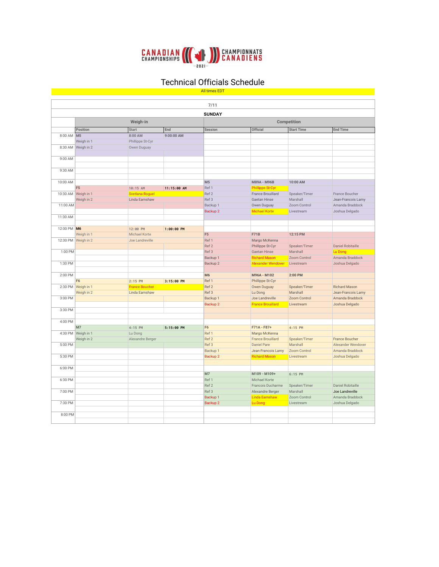

## Technical Officials Schedule **All times EDT**

|             |                     |                        |             | 7/11                |                           |                   |                          |  |  |  |
|-------------|---------------------|------------------------|-------------|---------------------|---------------------------|-------------------|--------------------------|--|--|--|
|             |                     |                        |             | <b>SUNDAY</b>       |                           |                   |                          |  |  |  |
|             |                     | Weigh-in               |             | Competition         |                           |                   |                          |  |  |  |
|             | Position            | <b>Start</b>           | End         | <b>Session</b>      | <b>Official</b>           | <b>Start Time</b> | <b>End Time</b>          |  |  |  |
| 8:00 AM     | M <sub>5</sub>      | 8:00 AM                | 9:00:00 AM  |                     |                           |                   |                          |  |  |  |
|             | Weigh in 1          | Phillippe St-Cyr       |             |                     |                           |                   |                          |  |  |  |
| 8:30 AM     | Weigh in 2          | Owen Duguay            |             |                     |                           |                   |                          |  |  |  |
|             |                     |                        |             |                     |                           |                   |                          |  |  |  |
| 9:00 AM     |                     |                        |             |                     |                           |                   |                          |  |  |  |
|             |                     |                        |             |                     |                           |                   |                          |  |  |  |
| 9:30 AM     |                     |                        |             |                     |                           |                   |                          |  |  |  |
|             |                     |                        |             |                     |                           |                   |                          |  |  |  |
| 10:00 AM    |                     |                        |             | M <sub>5</sub>      | M89A - M96B               | 10:00 AM          |                          |  |  |  |
|             | F <sub>5</sub>      | 10:15 AM               | 11:15:00 AM | Ref 1               | <b>Phillippe St-Cyr</b>   |                   |                          |  |  |  |
| 10:30 AM    | Weigh in 1          | <b>Svetlana Roguel</b> |             | Ref <sub>2</sub>    | <b>France Brouillard</b>  | Speaker/Timer     | France Boucher           |  |  |  |
|             | Weigh in 2          | Linda Earnshaw         |             | Ref 3               | Gaetan Hinse              | Marshall          | Jean-Francois Lamy       |  |  |  |
| 11:00 AM    |                     |                        |             | Backup 1            | Owen Duguay               | Zoom Control      | Amanda Braddock          |  |  |  |
|             |                     |                        |             | Backup <sub>2</sub> | <b>Michael Korte</b>      | Livestream        | Joshua Delgado           |  |  |  |
| 11:30 AM    |                     |                        |             |                     |                           |                   |                          |  |  |  |
|             |                     |                        |             |                     |                           |                   |                          |  |  |  |
| 12:00 PM M6 |                     | 12:00 PM               | 1:00:00 PM  |                     |                           |                   |                          |  |  |  |
|             | Weigh in 1          | Michael Korte          |             | F <sub>5</sub>      | <b>F71B</b>               | 12:15 PM          |                          |  |  |  |
|             | 12:30 PM Weigh in 2 | Joe Landreville        |             |                     | Margo McKenna             |                   |                          |  |  |  |
|             |                     |                        |             | Ref <sub>2</sub>    | Phillippe St-Cyr          | Speaker/Timer     | <b>Daniel Robitaille</b> |  |  |  |
| 1:00 PM     |                     |                        |             | Ref <sub>3</sub>    | <b>Gaetan Hinse</b>       | Marshall          | Lu Dona                  |  |  |  |
|             |                     |                        |             | Backup 1            | <b>Richard Mason</b>      | Zoom Control      | Amanda Braddock          |  |  |  |
| 1:30 PM     |                     |                        |             | Backup <sub>2</sub> | <b>Alexander Wendover</b> | Livestream        | Joshua Delgado           |  |  |  |
|             |                     |                        |             |                     |                           |                   |                          |  |  |  |
| 2:00 PM     |                     |                        |             | <b>M6</b>           | M96A - M102               | 2:00 PM           |                          |  |  |  |
|             | F <sub>6</sub>      | $2:15$ PM              | 3:15:00 PM  | Ref 1               | Phillippe St-Cyr          |                   |                          |  |  |  |
| 2:30 PM     | Weigh in 1          | <b>France Boucher</b>  |             | Ref <sub>2</sub>    | Owen Duguay               | Speaker/Timer     | <b>Richard Mason</b>     |  |  |  |
|             | Weigh in 2          | Linda Earnshaw         |             | Ref <sub>3</sub>    | Lu Dong                   | Marshall          | Jean-Francois Lamy       |  |  |  |
| 3:00 PM     |                     |                        |             | Backup 1            | Joe Landreville           | Zoom Control      | Amanda Braddock          |  |  |  |
|             |                     |                        |             | Backup <sub>2</sub> | <b>France Brouillard</b>  | Livestream        | Joshua Delgado           |  |  |  |
| 3:30 PM     |                     |                        |             |                     |                           |                   |                          |  |  |  |
|             |                     |                        |             |                     |                           |                   |                          |  |  |  |
| 4:00 PM     |                     |                        |             |                     |                           |                   |                          |  |  |  |
|             | M <sub>7</sub>      | 4:15 PM                | 5:15:00 PM  | F <sub>6</sub>      | F71A - F87+               | 4:15 PM           |                          |  |  |  |
| 4:30 PM     | Weigh in 1          | Lu Dong                |             | Ref 1               | Margo McKenna             |                   |                          |  |  |  |
|             | Weigh in 2          | Alexandre Berger       |             | Ref <sub>2</sub>    | <b>France Brouillard</b>  | Speaker/Timer     | <b>France Boucher</b>    |  |  |  |
| 5:00 PM     |                     |                        |             | Ref 3               | <b>Daniel Pare</b>        | Marshall          | Alexander Wendover       |  |  |  |
|             |                     |                        |             | Backup 1            | Jean-Francois Lamy        | Zoom Control      | Amanda Braddock          |  |  |  |
| 5:30 PM     |                     |                        |             | Backup <sub>2</sub> | <b>Richard Mason</b>      | Livestream        | Joshua Delgado           |  |  |  |
|             |                     |                        |             |                     |                           |                   |                          |  |  |  |
| 6:00 PM     |                     |                        |             |                     |                           |                   |                          |  |  |  |
|             |                     |                        |             | M7                  | M109 - M109+              | $6:15$ PM         |                          |  |  |  |
| 6:30 PM     |                     |                        |             | Ref 1               | <b>Michael Korte</b>      |                   |                          |  |  |  |
|             |                     |                        |             | Ref 2               | Francois Ducharme         | Speaker/Timer     | <b>Daniel Robitaille</b> |  |  |  |
| 7:00 PM     |                     |                        |             | Ref 3               | Alexandre Berger          | Marshall          | Joe Landreville          |  |  |  |
| 7:30 PM     |                     |                        |             | Backup <sub>1</sub> | <b>Linda Earnshaw</b>     | Zoom Control      | Amanda Braddock          |  |  |  |
|             |                     |                        |             | Backup <sub>2</sub> | Lu Dong                   | Livestream        | Joshua Delgado           |  |  |  |
|             |                     |                        |             |                     |                           |                   |                          |  |  |  |
| 8:00 PM     |                     |                        |             |                     |                           |                   |                          |  |  |  |
|             |                     |                        |             |                     |                           |                   |                          |  |  |  |